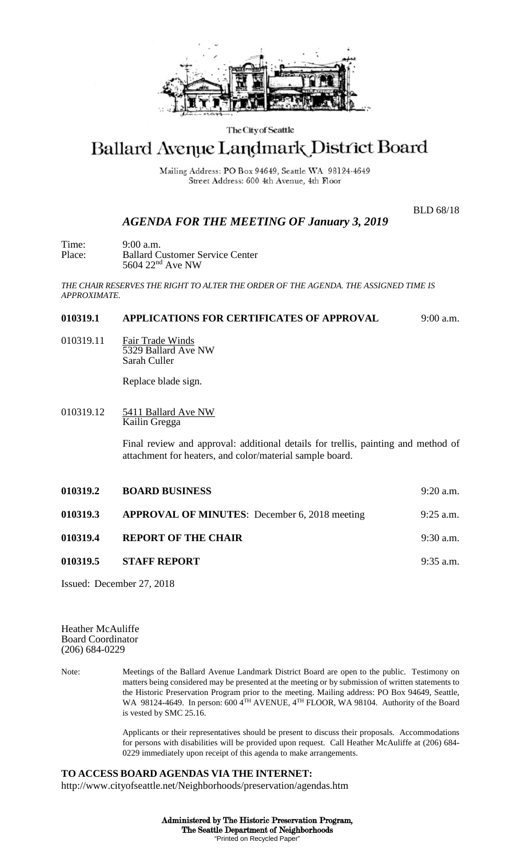

## The City of Seattle

## Ballard Avenue Landmark District Board

Mailing Address: PO Box 94649, Seattle WA 98124-4649 Street Address: 600 4th Avenue, 4th Floor

BLD 68/18

## *AGENDA FOR THE MEETING OF January 3, 2019*

Time: 9:00 a.m.<br>Place: Ballard C **Ballard Customer Service Center** 5604 22nd Ave NW

*THE CHAIR RESERVES THE RIGHT TO ALTER THE ORDER OF THE AGENDA. THE ASSIGNED TIME IS APPROXIMATE.*

## **010319.1 APPLICATIONS FOR CERTIFICATES OF APPROVAL** 9:00 a.m.

010319.11 Fair Trade Winds 5329 Ballard Ave NW Sarah Culler

Replace blade sign.

010319.12 5411 Ballard Ave NW Kailin Gregga

> Final review and approval: additional details for trellis, painting and method of attachment for heaters, and color/material sample board.

| 010319.2 | <b>BOARD BUSINESS</b>                                | $9:20$ a.m. |
|----------|------------------------------------------------------|-------------|
| 010319.3 | <b>APPROVAL OF MINUTES:</b> December 6, 2018 meeting | $9:25$ a.m. |
| 010319.4 | <b>REPORT OF THE CHAIR</b>                           | $9:30$ a.m. |
| 010319.5 | <b>STAFF REPORT</b>                                  | $9:35$ a.m. |
|          |                                                      |             |

Issued: December 27, 2018

Heather McAuliffe Board Coordinator (206) 684-0229

Note: Meetings of the Ballard Avenue Landmark District Board are open to the public. Testimony on matters being considered may be presented at the meeting or by submission of written statements to the Historic Preservation Program prior to the meeting. Mailing address: PO Box 94649, Seattle, WA 98124-4649. In person: 600 4<sup>TH</sup> AVENUE, 4<sup>TH</sup> FLOOR, WA 98104. Authority of the Board is vested by SMC 25.16.

> Applicants or their representatives should be present to discuss their proposals. Accommodations for persons with disabilities will be provided upon request. Call Heather McAuliffe at (206) 684- 0229 immediately upon receipt of this agenda to make arrangements.

**TO ACCESS BOARD AGENDAS VIA THE INTERNET:** http://www.cityofseattle.net/Neighborhoods/preservation/agendas.htm

> Administered by The Historic Preservation Program, The Seattle Department of Neighborhoods "Printed on Recycled Paper"